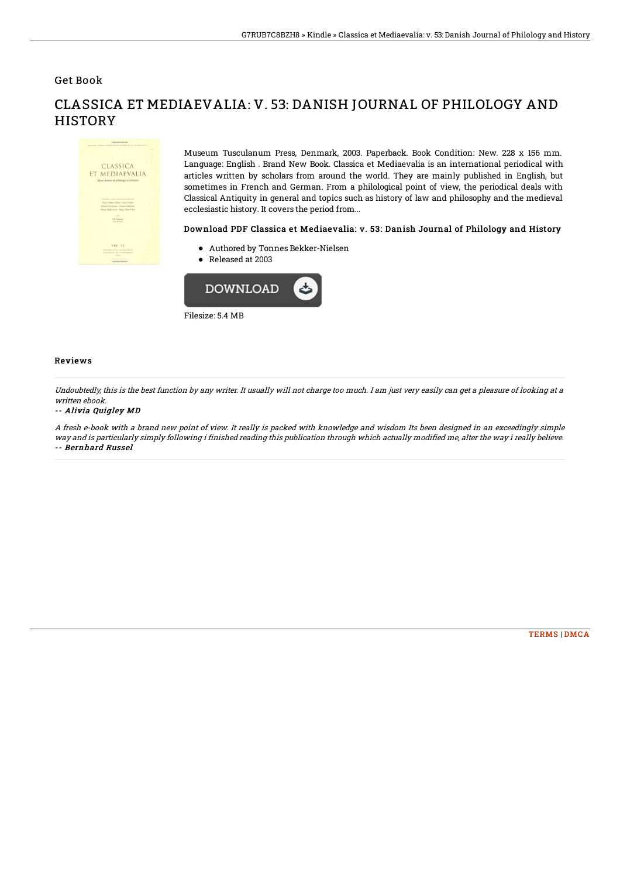Get Book



CLASSICA ET MEDIAEVALIA: V. 53: DANISH JOURNAL OF PHILOLOGY AND **HISTORY** 

> Museum Tusculanum Press, Denmark, 2003. Paperback. Book Condition: New. 228 x 156 mm. Language: English . Brand New Book. Classica et Mediaevalia is an international periodical with articles written by scholars from around the world. They are mainly published in English, but sometimes in French and German. From a philological point of view, the periodical deals with Classical Antiquity in general and topics such as history of law and philosophy and the medieval ecclesiastic history. It covers the period from...

## Download PDF Classica et Mediaevalia: v. 53: Danish Journal of Philology and History

- Authored by Tonnes Bekker-Nielsen
- Released at 2003



## Reviews

Undoubtedly, this is the best function by any writer. It usually will not charge too much. I am just very easily can get <sup>a</sup> pleasure of looking at <sup>a</sup> written ebook.

## -- Alivia Quigley MD

A fresh e-book with <sup>a</sup> brand new point of view. It really is packed with knowledge and wisdom Its been designed in an exceedingly simple way and is particularly simply following i finished reading this publication through which actually modified me, alter the way i really believe. -- Bernhard Russel